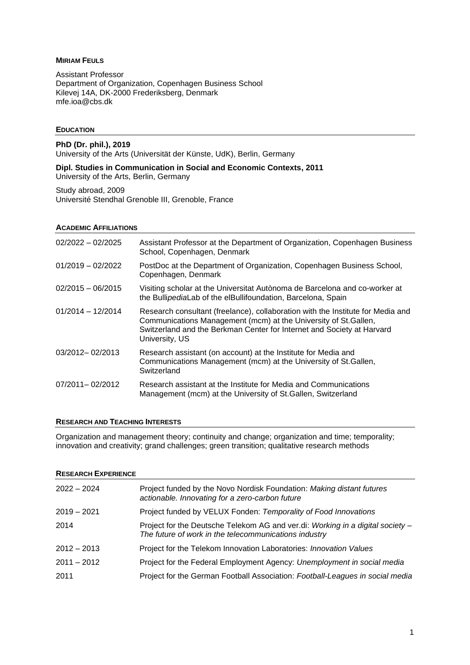# **MIRIAM FEULS**

Assistant Professor Department of Organization, Copenhagen Business School Kilevej 14A, DK-2000 Frederiksberg, Denmark [mfe.ioa@cbs.dk](mailto:mfe.ioa@cbs.dk)

# **EDUCATION**

**PhD (Dr. phil.), 2019** University of the Arts (Universität der Künste, UdK), Berlin, Germany

**Dipl. Studies in Communication in Social and Economic Contexts, 2011** University of the Arts, Berlin, Germany

Study abroad, 2009 Université Stendhal Grenoble III, Grenoble, France

### **ACADEMIC AFFILIATIONS**

| $02/2022 - 02/2025$ | Assistant Professor at the Department of Organization, Copenhagen Business<br>School, Copenhagen, Denmark                                                                                                                                       |
|---------------------|-------------------------------------------------------------------------------------------------------------------------------------------------------------------------------------------------------------------------------------------------|
| $01/2019 - 02/2022$ | PostDoc at the Department of Organization, Copenhagen Business School,<br>Copenhagen, Denmark                                                                                                                                                   |
| $02/2015 - 06/2015$ | Visiting scholar at the Universitat Autònoma de Barcelona and co-worker at<br>the BullipediaLab of the elBullifoundation, Barcelona, Spain                                                                                                      |
| $01/2014 - 12/2014$ | Research consultant (freelance), collaboration with the Institute for Media and<br>Communications Management (mcm) at the University of St. Gallen,<br>Switzerland and the Berkman Center for Internet and Society at Harvard<br>University, US |
| 03/2012-02/2013     | Research assistant (on account) at the Institute for Media and<br>Communications Management (mcm) at the University of St. Gallen,<br>Switzerland                                                                                               |
| 07/2011-02/2012     | Research assistant at the Institute for Media and Communications<br>Management (mcm) at the University of St. Gallen, Switzerland                                                                                                               |

## **RESEARCH AND TEACHING INTERESTS**

Organization and management theory; continuity and change; organization and time; temporality; innovation and creativity; grand challenges; green transition; qualitative research methods

## **RESEARCH EXPERIENCE**

| $2022 - 2024$ | Project funded by the Novo Nordisk Foundation: Making distant futures<br>actionable. Innovating for a zero-carbon future                |
|---------------|-----------------------------------------------------------------------------------------------------------------------------------------|
| $2019 - 2021$ | Project funded by VELUX Fonden: Temporality of Food Innovations                                                                         |
| 2014          | Project for the Deutsche Telekom AG and ver.di: Working in a digital society -<br>The future of work in the telecommunications industry |
| $2012 - 2013$ | Project for the Telekom Innovation Laboratories: Innovation Values                                                                      |
| $2011 - 2012$ | Project for the Federal Employment Agency: Unemployment in social media                                                                 |
| 2011          | Project for the German Football Association: Football-Leagues in social media                                                           |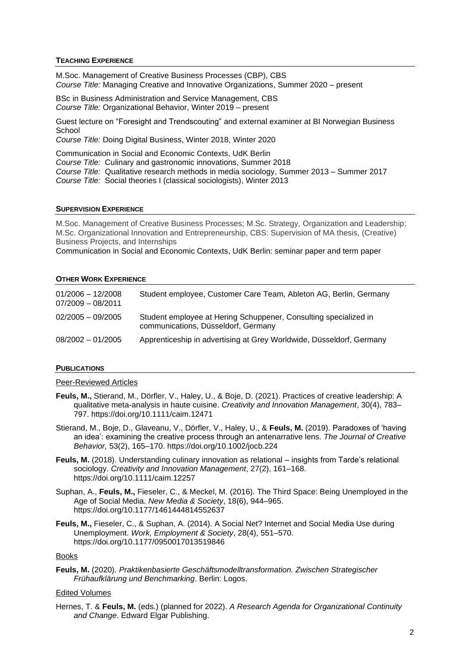## **TEACHING EXPERIENCE**

M.Soc. Management of Creative Business Processes (CBP), CBS *Course Title:* Managing Creative and Innovative Organizations, Summer 2020 – present

BSc in Business Administration and Service Management, CBS *Course Title:* Organizational Behavior, Winter 2019 – present

Guest lecture on "Foresight and Trendscouting" and external examiner at BI Norwegian Business **School** 

*Course Title:* Doing Digital Business, Winter 2018, Winter 2020

Communication in Social and Economic Contexts, UdK Berlin *Course Title:* Culinary and gastronomic innovations, Summer 2018 *Course Title:* Qualitative research methods in media sociology, Summer 2013 – Summer 2017 *Course Title:* Social theories I (classical sociologists), Winter 2013

## **SUPERVISION EXPERIENCE**

M.Soc. Management of Creative Business Processes; M.Sc. Strategy, Organization and Leadership; M.Sc. Organizational Innovation and Entrepreneurship, CBS: Supervision of MA thesis, (Creative) Business Projects, and Internships

Communication in Social and Economic Contexts, UdK Berlin: seminar paper and term paper

# **OTHER WORK EXPERIENCE**

| $01/2006 - 12/2008$<br>$07/2009 - 08/2011$ | Student employee, Customer Care Team, Ableton AG, Berlin, Germany                                       |
|--------------------------------------------|---------------------------------------------------------------------------------------------------------|
| $02/2005 - 09/2005$                        | Student employee at Hering Schuppener, Consulting specialized in<br>communications, Düsseldorf, Germany |
| $08/2002 - 01/2005$                        | Apprenticeship in advertising at Grey Worldwide, Düsseldorf, Germany                                    |

## **PUBLICATIONS**

# Peer-Reviewed Articles

- **Feuls, M.,** Stierand, M., Dörfler, V., Haley, U., & Boje, D. (2021). Practices of creative leadership: A qualitative meta-analysis in haute cuisine. *Creativity and Innovation Management*, 30(4), 783– 797. https://doi.org/10.1111/caim.12471
- Stierand, M., Boje, D., Glaveanu, V., Dörfler, V., Haley, U., & **Feuls, M.** (2019). Paradoxes of 'having an idea': examining the creative process through an antenarrative lens. *The Journal of Creative Behavior,* 53(2), 165–170. <https://doi.org/10.1002/jocb.224>
- **Feuls, M.** (2018). Understanding culinary innovation as relational insights from Tarde's relational sociology. *Creativity and Innovation Management*, 27(2), 161–168. <https://doi.org/10.1111/caim.12257>
- Suphan, A., **Feuls, M.,** Fieseler, C., & Meckel, M. (2016). The Third Space: Being Unemployed in the Age of Social Media. *New Media & Society*, 18(6), 944–965. [https://doi.org/10.1177/1461444814552637](https://doi.org/10.1177%2F1461444814552637)
- **Feuls, M.,** Fieseler, C., & Suphan, A. (2014). A Social Net? Internet and Social Media Use during Unemployment. *Work, Employment & Society*, 28(4), 551–570. [https://doi.org/10.1177/0950017013519846](https://doi.org/10.1177%2F0950017013519846)

## Books

**Feuls, M.** (2020). *Praktikenbasierte Geschäftsmodelltransformation. Zwischen Strategischer Frühaufklärung und Benchmarking*. Berlin: Logos.

# Edited Volumes

Hernes, T. & **Feuls, M.** (eds.) (planned for 2022). *A Research Agenda for Organizational Continuity and Change*. Edward Elgar Publishing.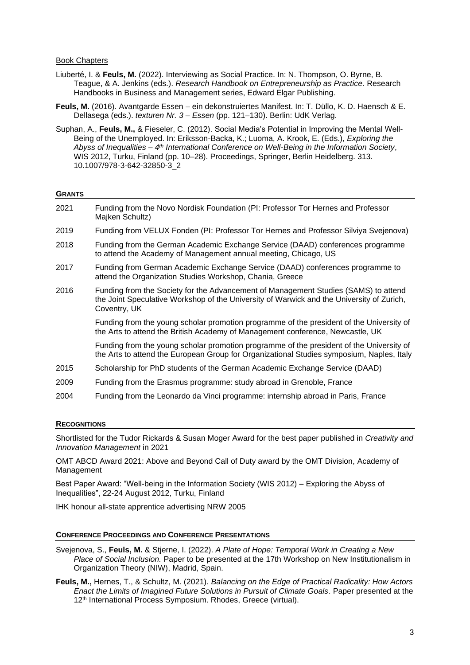### Book Chapters

- Liuberté, I. & **Feuls, M.** (2022). Interviewing as Social Practice. In: N. Thompson, O. Byrne, B. Teague, & A. Jenkins (eds.). *Research Handbook on Entrepreneurship as Practice*. Research Handbooks in Business and Management series, Edward Elgar Publishing.
- **Feuls, M.** (2016). Avantgarde Essen ein dekonstruiertes Manifest. In: T. Düllo, K. D. Haensch & E. Dellasega (eds.). *texturen Nr. 3 – Essen* (pp. 121–130). Berlin: UdK Verlag.
- Suphan, A., **Feuls, M.,** & Fieseler, C. (2012). Social Media's Potential in Improving the Mental Well-Being of the Unemployed. In: Eriksson-Backa, K.; Luoma, A. Krook, E. (Eds.), *Exploring the Abyss of Inequalities – 4 th International Conference on Well-Being in the Information Society*, WIS 2012, Turku, Finland (pp. 10–28). Proceedings, Springer, Berlin Heidelberg. 313. [10.1007/978-3-642-32850-3\\_2](https://doi.org/10.1007/978-3-642-32850-3_2)

#### **GRANTS**

| 2021 | Funding from the Novo Nordisk Foundation (PI: Professor Tor Hernes and Professor<br>Majken Schultz)                                                                                              |
|------|--------------------------------------------------------------------------------------------------------------------------------------------------------------------------------------------------|
| 2019 | Funding from VELUX Fonden (PI: Professor Tor Hernes and Professor Silviya Svejenova)                                                                                                             |
| 2018 | Funding from the German Academic Exchange Service (DAAD) conferences programme<br>to attend the Academy of Management annual meeting, Chicago, US                                                |
| 2017 | Funding from German Academic Exchange Service (DAAD) conferences programme to<br>attend the Organization Studies Workshop, Chania, Greece                                                        |
| 2016 | Funding from the Society for the Advancement of Management Studies (SAMS) to attend<br>the Joint Speculative Workshop of the University of Warwick and the University of Zurich,<br>Coventry, UK |
|      | Funding from the young scholar promotion programme of the president of the University of<br>the Arts to attend the British Academy of Management conference, Newcastle, UK                       |
|      | Funding from the young scholar promotion programme of the president of the University of<br>the Arts to attend the European Group for Organizational Studies symposium, Naples, Italy            |
| 2015 | Scholarship for PhD students of the German Academic Exchange Service (DAAD)                                                                                                                      |
| 2009 | Funding from the Erasmus programme: study abroad in Grenoble, France                                                                                                                             |
| 2004 | Funding from the Leonardo da Vinci programme: internship abroad in Paris, France                                                                                                                 |

#### **RECOGNITIONS**

Shortlisted for the Tudor Rickards & Susan Moger Award for the best paper published in *Creativity and Innovation Management* in 2021

OMT ABCD Award 2021: Above and Beyond Call of Duty award by the OMT Division, Academy of Management

Best Paper Award: "Well-being in the Information Society (WIS 2012) – Exploring the Abyss of Inequalities", 22-24 August 2012, Turku, Finland

IHK honour all-state apprentice advertising NRW 2005

#### **CONFERENCE PROCEEDINGS AND CONFERENCE PRESENTATIONS**

- Svejenova, S., **Feuls, M.** & Stjerne, I. (2022). *A Plate of Hope: Temporal Work in Creating a New Place of Social Inclusion.* Paper to be presented at the 17th Workshop on New Institutionalism in Organization Theory (NIW), Madrid, Spain.
- **Feuls, M.,** Hernes, T., & Schultz, M. (2021). *Balancing on the Edge of Practical Radicality: How Actors Enact the Limits of Imagined Future Solutions in Pursuit of Climate Goals*. Paper presented at the 12<sup>th</sup> International Process Symposium. Rhodes, Greece (virtual).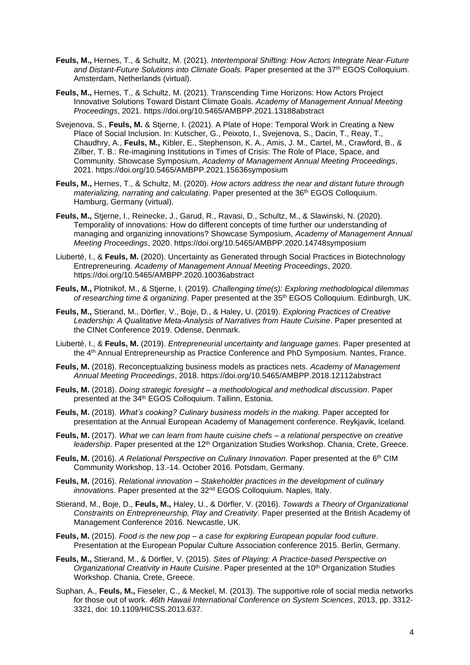- **Feuls, M.,** Hernes, T., & Schultz, M. (2021). *Intertemporal Shifting: How Actors Integrate Near-Future and Distant-Future Solutions into Climate Goals.* Paper presented at the 37th EGOS Colloquium. Amsterdam, Netherlands (virtual).
- **Feuls, M.,** Hernes, T., & Schultz, M. (2021). Transcending Time Horizons: How Actors Project Innovative Solutions Toward Distant Climate Goals. *Academy of Management Annual Meeting Proceedings*, 2021.<https://doi.org/10.5465/AMBPP.2021.13188abstract>
- Svejenova, S., **Feuls, M.** & Stjerne, I. (2021). A Plate of Hope: Temporal Work in Creating a New Place of Social Inclusion. In: Kutscher, G., Peixoto, I., Svejenova, S., Dacin, T., Reay, T., Chaudhry, A., **Feuls, M.,** Kibler, E., Stephenson, K. A., Amis, J. M., Cartel, M., Crawford, B., & Zilber, T. B.: Re-imagining Institutions in Times of Crisis: The Role of Place, Space, and Community. Showcase Symposium, *Academy of Management Annual Meeting Proceedings*, 2021.<https://doi.org/10.5465/AMBPP.2021.15636symposium>
- **Feuls, M.,** Hernes, T., & Schultz, M. (2020). *How actors address the near and distant future through materializing, narrating and calculating*. Paper presented at the 36<sup>th</sup> EGOS Colloquium. Hamburg, Germany (virtual).
- **Feuls, M.,** Stjerne, I., Reinecke, J., Garud, R., Ravasi, D., Schultz, M., & Slawinski, N. (2020). Temporality of innovations: How do different concepts of time further our understanding of managing and organizing innovations? Showcase Symposium, *Academy of Management Annual Meeting Proceedings*, 2020.<https://doi.org/10.5465/AMBPP.2020.14748symposium>
- Liuberté, I., & **Feuls, M.** (2020). Uncertainty as Generated through Social Practices in Biotechnology Entrepreneuring. *Academy of Management Annual Meeting Proceedings*, 2020. <https://doi.org/10.5465/AMBPP.2020.10036abstract>
- **Feuls, M.,** Plotnikof, M., & Stjerne, I. (2019). *Challenging time(s): Exploring methodological dilemmas of researching time & organizing*. Paper presented at the 35th EGOS Colloquium. Edinburgh, UK.
- **Feuls, M.,** Stierand, M., Dörfler, V., Boje, D., & Haley, U. (2019). *Exploring Practices of Creative Leadership: A Qualitative Meta-Analysis of Narratives from Haute Cuisine*. Paper presented at the CINet Conference 2019. Odense, Denmark.
- Liuberté, I., & **Feuls, M.** (2019). *Entrepreneurial uncertainty and language games*. Paper presented at the 4th Annual Entrepreneurship as Practice Conference and PhD Symposium. Nantes, France.
- **Feuls, M.** (2018). Reconceptualizing business models as practices nets. *Academy of Management Annual Meeting Proceedings*, 2018.<https://doi.org/10.5465/AMBPP.2018.12112abstract>
- **Feuls, M.** (2018). *Doing strategic foresight – a methodological and methodical discussion*. Paper presented at the 34th EGOS Colloquium. Tallinn, Estonia.
- **Feuls, M.** (2018). *What's cooking? Culinary business models in the making.* Paper accepted for presentation at the Annual European Academy of Management conference. Reykjavik, Iceland.
- **Feuls, M.** (2017). *What we can learn from haute cuisine chefs – a relational perspective on creative leadership*. Paper presented at the 12<sup>th</sup> Organization Studies Workshop. Chania, Crete, Greece.
- **Feuls, M.** (2016). *A Relational Perspective on Culinary Innovation*. Paper presented at the 6th CIM Community Workshop, 13.-14. October 2016. Potsdam, Germany.
- **Feuls, M.** (2016). *Relational innovation – Stakeholder practices in the development of culinary innovations*. Paper presented at the 32nd EGOS Colloquium. Naples, Italy.
- Stierand, M., Boje, D., **Feuls, M.,** Haley, U., & Dörfler, V. (2016). *Towards a Theory of Organizational Constraints on Entrepreneurship, Play and Creativity*. Paper presented at the British Academy of Management Conference 2016. Newcastle, UK.
- **Feuls, M.** (2015). *Food is the new pop – a case for exploring European popular food culture*. Presentation at the European Popular Culture Association conference 2015. Berlin, Germany.
- **Feuls, M.,** Stierand, M., & Dörfler, V. (2015). *Sites of Playing: A Practice-based Perspective on Organizational Creativity in Haute Cuisine. Paper presented at the 10<sup>th</sup> Organization Studies* Workshop. Chania, Crete, Greece.
- Suphan, A., **Feuls, M.,** Fieseler, C., & Meckel, M. (2013). The supportive role of social media networks for those out of work. *46th Hawaii International Conference on System Sciences*, 2013, pp. 3312- 3321, doi: 10.1109/HICSS.2013.637.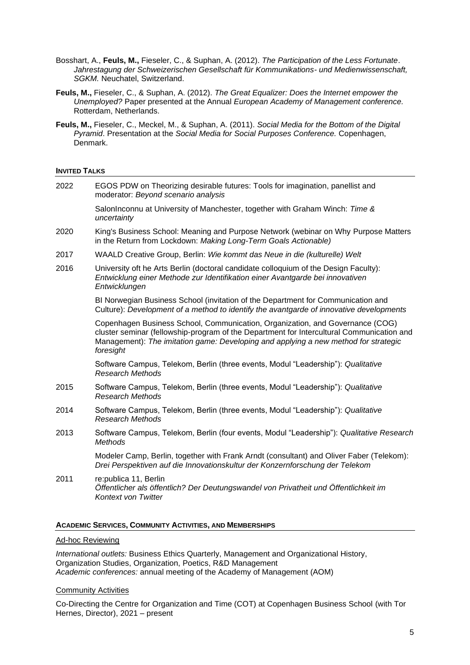- Bosshart, A., **Feuls, M.,** Fieseler, C., & Suphan, A. (2012). *The Participation of the Less Fortunate*. *Jahrestagung der Schweizerischen Gesellschaft für Kommunikations- und Medienwissenschaft, SGKM.* Neuchatel, Switzerland.
- **Feuls, M.,** Fieseler, C., & Suphan, A. (2012). *The Great Equalizer: Does the Internet empower the Unemployed?* Paper presented at the Annual *European Academy of Management conference.*  Rotterdam, Netherlands.
- **Feuls, M.,** Fieseler, C., Meckel, M., & Suphan, A. (2011). *Social Media for the Bottom of the Digital Pyramid*. Presentation at the *Social Media for Social Purposes Conference.* Copenhagen, Denmark.

## **INVITED TALKS**

| 2022 | EGOS PDW on Theorizing desirable futures: Tools for imagination, panellist and<br>moderator: Beyond scenario analysis                                                                                                                                                          |
|------|--------------------------------------------------------------------------------------------------------------------------------------------------------------------------------------------------------------------------------------------------------------------------------|
|      | SalonInconnu at University of Manchester, together with Graham Winch: Time &<br>uncertainty                                                                                                                                                                                    |
| 2020 | King's Business School: Meaning and Purpose Network (webinar on Why Purpose Matters<br>in the Return from Lockdown: Making Long-Term Goals Actionable)                                                                                                                         |
| 2017 | WAALD Creative Group, Berlin: Wie kommt das Neue in die (kulturelle) Welt                                                                                                                                                                                                      |
| 2016 | University oft he Arts Berlin (doctoral candidate colloquium of the Design Faculty):<br>Entwicklung einer Methode zur Identifikation einer Avantgarde bei innovativen<br>Entwicklungen                                                                                         |
|      | BI Norwegian Business School (invitation of the Department for Communication and<br>Culture): Development of a method to identify the avantgarde of innovative developments                                                                                                    |
|      | Copenhagen Business School, Communication, Organization, and Governance (COG)<br>cluster seminar (fellowship-program of the Department for Intercultural Communication and<br>Management): The imitation game: Developing and applying a new method for strategic<br>foresight |
|      | Software Campus, Telekom, Berlin (three events, Modul "Leadership"): Qualitative<br><b>Research Methods</b>                                                                                                                                                                    |
| 2015 | Software Campus, Telekom, Berlin (three events, Modul "Leadership"): Qualitative<br><b>Research Methods</b>                                                                                                                                                                    |
| 2014 | Software Campus, Telekom, Berlin (three events, Modul "Leadership"): Qualitative<br><b>Research Methods</b>                                                                                                                                                                    |
| 2013 | Software Campus, Telekom, Berlin (four events, Modul "Leadership"): Qualitative Research<br><b>Methods</b>                                                                                                                                                                     |
|      | Modeler Camp, Berlin, together with Frank Arndt (consultant) and Oliver Faber (Telekom):<br>Drei Perspektiven auf die Innovationskultur der Konzernforschung der Telekom                                                                                                       |
| 2011 | re: publica 11, Berlin<br>Öffentlicher als öffentlich? Der Deutungswandel von Privatheit und Öffentlichkeit im<br><b>Kontext von Twitter</b>                                                                                                                                   |

#### **ACADEMIC SERVICES, COMMUNITY ACTIVITIES, AND MEMBERSHIPS**

#### Ad-hoc Reviewing

*International outlets:* Business Ethics Quarterly, Management and Organizational History, Organization Studies, Organization, Poetics, R&D Management *Academic conferences:* annual meeting of the Academy of Management (AOM)

## Community Activities

Co-Directing the Centre for Organization and Time (COT) at Copenhagen Business School (with Tor Hernes, Director), 2021 – present